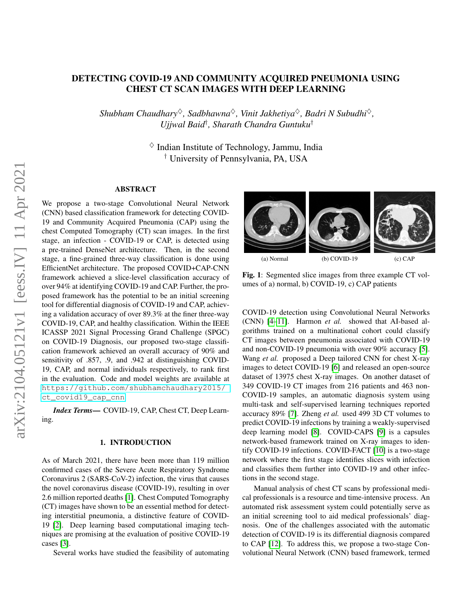# DETECTING COVID-19 AND COMMUNITY ACQUIRED PNEUMONIA USING CHEST CT SCAN IMAGES WITH DEEP LEARNING

*Shubham Chaudhary*♦*, Sadbhawna*♦*, Vinit Jakhetiya*♦*, Badri N Subudhi*♦*, Ujjwal Baid*† *, Sharath Chandra Guntuku*†

> $\diamond$  Indian Institute of Technology, Jammu, India † University of Pennsylvania, PA, USA

# ABSTRACT

We propose a two-stage Convolutional Neural Network (CNN) based classification framework for detecting COVID-19 and Community Acquired Pneumonia (CAP) using the chest Computed Tomography (CT) scan images. In the first stage, an infection - COVID-19 or CAP, is detected using a pre-trained DenseNet architecture. Then, in the second stage, a fine-grained three-way classification is done using EfficientNet architecture. The proposed COVID+CAP-CNN framework achieved a slice-level classification accuracy of over 94% at identifying COVID-19 and CAP. Further, the proposed framework has the potential to be an initial screening tool for differential diagnosis of COVID-19 and CAP, achieving a validation accuracy of over 89.3% at the finer three-way COVID-19, CAP, and healthy classification. Within the IEEE ICASSP 2021 Signal Processing Grand Challenge (SPGC) on COVID-19 Diagnosis, our proposed two-stage classification framework achieved an overall accuracy of 90% and sensitivity of .857, .9, and .942 at distinguishing COVID-19, CAP, and normal individuals respectively, to rank first in the evaluation. Code and model weights are available at [https://github.com/shubhamchaudhary2015/](https://github.com/shubhamchaudhary2015/ct_covid19_cap_cnn) [ct\\_covid19\\_cap\\_cnn](https://github.com/shubhamchaudhary2015/ct_covid19_cap_cnn)

*Index Terms*— COVID-19, CAP, Chest CT, Deep Learning.

### 1. INTRODUCTION

As of March 2021, there have been more than 119 million confirmed cases of the Severe Acute Respiratory Syndrome Coronavirus 2 (SARS-CoV-2) infection, the virus that causes the novel coronavirus disease (COVID-19), resulting in over 2.6 million reported deaths [\[1\]](#page-4-0). Chest Computed Tomography (CT) images have shown to be an essential method for detecting interstitial pneumonia, a distinctive feature of COVID-19 [\[2\]](#page-4-1). Deep learning based computational imaging techniques are promising at the evaluation of positive COVID-19 cases [\[3\]](#page-4-2).

Several works have studied the feasibility of automating



Fig. 1: Segmented slice images from three example CT volumes of a) normal, b) COVID-19, c) CAP patients

COVID-19 detection using Convolutional Neural Networks (CNN) [\[4–](#page-4-3)[11\]](#page-4-4). Harmon *et al.* showed that AI-based algorithms trained on a multinational cohort could classify CT images between pneumonia associated with COVID-19 and non-COVID-19 pneumonia with over 90% accuracy [\[5\]](#page-4-5). Wang *et al.* proposed a Deep tailored CNN for chest X-ray images to detect COVID-19 [\[6\]](#page-4-6) and released an open-source dataset of 13975 chest X-ray images. On another dataset of 349 COVID-19 CT images from 216 patients and 463 non-COVID-19 samples, an automatic diagnosis system using multi-task and self-supervised learning techniques reported accuracy 89% [\[7\]](#page-4-7). Zheng *et al.* used 499 3D CT volumes to predict COVID-19 infections by training a weakly-supervised deep learning model [\[8\]](#page-4-8). COVID-CAPS [\[9\]](#page-4-9) is a capsules network-based framework trained on X-ray images to identify COVID-19 infections. COVID-FACT [\[10\]](#page-4-10) is a two-stage network where the first stage identifies slices with infection and classifies them further into COVID-19 and other infections in the second stage.

Manual analysis of chest CT scans by professional medical professionals is a resource and time-intensive process. An automated risk assessment system could potentially serve as an initial screening tool to aid medical professionals' diagnosis. One of the challenges associated with the automatic detection of COVID-19 is its differential diagnosis compared to CAP [\[12\]](#page-4-11). To address this, we propose a two-stage Convolutional Neural Network (CNN) based framework, termed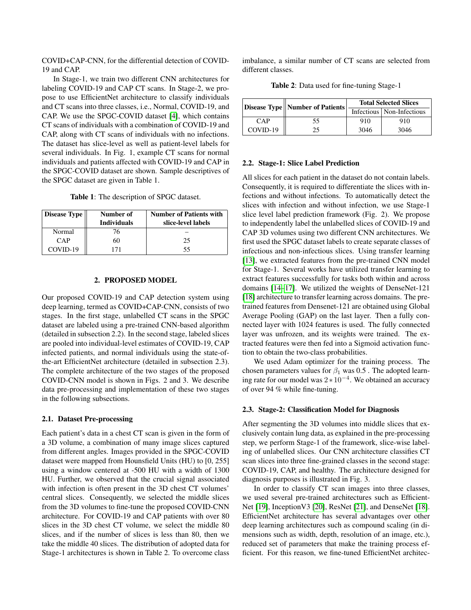COVID+CAP-CNN, for the differential detection of COVID-19 and CAP.

In Stage-1, we train two different CNN architectures for labeling COVID-19 and CAP CT scans. In Stage-2, we propose to use EfficientNet architecture to classify individuals and CT scans into three classes, i.e., Normal, COVID-19, and CAP. We use the SPGC-COVID dataset [\[4\]](#page-4-3), which contains CT scans of individuals with a combination of COVID-19 and CAP, along with CT scans of individuals with no infections. The dataset has slice-level as well as patient-level labels for several individuals. In Fig. 1, example CT scans for normal individuals and patients affected with COVID-19 and CAP in the SPGC-COVID dataset are shown. Sample descriptives of the SPGC dataset are given in Table 1.

Table 1: The description of SPGC dataset.

| <b>Disease Type</b> | Number of<br><b>Individuals</b> | <b>Number of Patients with</b><br>slice-level labels |
|---------------------|---------------------------------|------------------------------------------------------|
| Normal              | 76                              |                                                      |
| CAP                 | 60                              | 25                                                   |
| COVID-19            |                                 | 55                                                   |

# 2. PROPOSED MODEL

Our proposed COVID-19 and CAP detection system using deep learning, termed as COVID+CAP-CNN, consists of two stages. In the first stage, unlabelled CT scans in the SPGC dataset are labeled using a pre-trained CNN-based algorithm (detailed in subsection 2.2). In the second stage, labeled slices are pooled into individual-level estimates of COVID-19, CAP infected patients, and normal individuals using the state-ofthe-art EfficientNet architecture (detailed in subsection 2.3). The complete architecture of the two stages of the proposed COVID-CNN model is shown in Figs. 2 and 3. We describe data pre-processing and implementation of these two stages in the following subsections.

# 2.1. Dataset Pre-processing

Each patient's data in a chest CT scan is given in the form of a 3D volume, a combination of many image slices captured from different angles. Images provided in the SPGC-COVID dataset were mapped from Hounsfield Units (HU) to [0, 255] using a window centered at -500 HU with a width of 1300 HU. Further, we observed that the crucial signal associated with infection is often present in the 3D chest CT volumes' central slices. Consequently, we selected the middle slices from the 3D volumes to fine-tune the proposed COVID-CNN architecture. For COVID-19 and CAP patients with over 80 slices in the 3D chest CT volume, we select the middle 80 slices, and if the number of slices is less than 80, then we take the middle 40 slices. The distribution of adopted data for Stage-1 architectures is shown in Table 2. To overcome class imbalance, a similar number of CT scans are selected from different classes.

Table 2: Data used for fine-tuning Stage-1

|           | Disease Type    Number of Patients | <b>Total Selected Slices</b> |                             |
|-----------|------------------------------------|------------------------------|-----------------------------|
|           |                                    |                              | Infectious   Non-Infectious |
| $\cap$ AP | 55.                                | 910                          | 910                         |
| COVID-19  | 25                                 | 3046                         | 3046                        |

### 2.2. Stage-1: Slice Label Prediction

All slices for each patient in the dataset do not contain labels. Consequently, it is required to differentiate the slices with infections and without infections. To automatically detect the slices with infection and without infection, we use Stage-1 slice level label prediction framework (Fig. 2). We propose to independently label the unlabelled slices of COVID-19 and CAP 3D volumes using two different CNN architectures. We first used the SPGC dataset labels to create separate classes of infectious and non-infectious slices. Using transfer learning [\[13\]](#page-4-12), we extracted features from the pre-trained CNN model for Stage-1. Several works have utilized transfer learning to extract features successfully for tasks both within and across domains [\[14](#page-4-13)[–17\]](#page-4-14). We utilized the weights of DenseNet-121 [\[18\]](#page-4-15) architecture to transfer learning across domains. The pretrained features from Densenet-121 are obtained using Global Average Pooling (GAP) on the last layer. Then a fully connected layer with 1024 features is used. The fully connected layer was unfrozen, and its weights were trained. The extracted features were then fed into a Sigmoid activation function to obtain the two-class probabilities.

We used Adam optimizer for the training process. The chosen parameters values for  $\beta_1$  was 0.5. The adopted learning rate for our model was  $2 \times 10^{-4}$ . We obtained an accuracy of over 94 % while fine-tuning.

#### 2.3. Stage-2: Classification Model for Diagnosis

After segmenting the 3D volumes into middle slices that exclusively contain lung data, as explained in the pre-processing step, we perform Stage-1 of the framework, slice-wise labeling of unlabelled slices. Our CNN architecture classifies CT scan slices into three fine-grained classes in the second stage: COVID-19, CAP, and healthy. The architecture designed for diagnosis purposes is illustrated in Fig. 3.

In order to classify CT scan images into three classes, we used several pre-trained architectures such as Efficient-Net [\[19\]](#page-4-16), InceptionV3 [\[20\]](#page-4-17), ResNet [\[21\]](#page-4-18), and DenseNet [\[18\]](#page-4-15). EfficientNet architecture has several advantages over other deep learning architectures such as compound scaling (in dimensions such as width, depth, resolution of an image, etc.), reduced set of parameters that make the training process efficient. For this reason, we fine-tuned EfficientNet architec-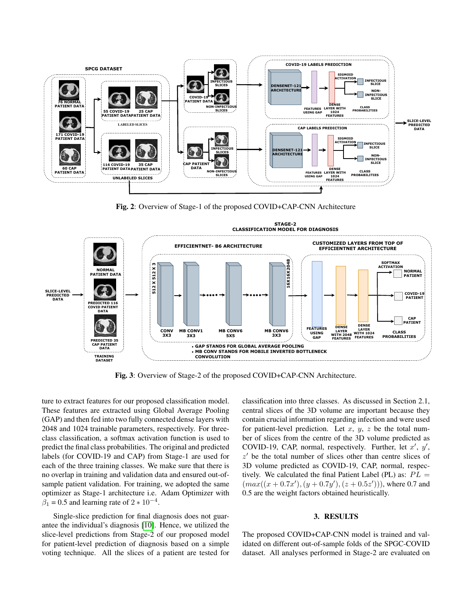

Fig. 2: Overview of Stage-1 of the proposed COVID+CAP-CNN Architecture



Fig. 3: Overview of Stage-2 of the proposed COVID+CAP-CNN Architecture.

ture to extract features for our proposed classification model. These features are extracted using Global Average Pooling (GAP) and then fed into two fully connected dense layers with 2048 and 1024 trainable parameters, respectively. For threeclass classification, a softmax activation function is used to predict the final class probabilities. The original and predicted labels (for COVID-19 and CAP) from Stage-1 are used for each of the three training classes. We make sure that there is no overlap in training and validation data and ensured out-ofsample patient validation. For training, we adopted the same optimizer as Stage-1 architecture i.e. Adam Optimizer with  $\beta_1 = 0.5$  and learning rate of 2  $*$  10<sup>-4</sup>.

Single-slice prediction for final diagnosis does not guarantee the individual's diagnosis [\[10\]](#page-4-10). Hence, we utilized the slice-level predictions from Stage-2 of our proposed model for patient-level prediction of diagnosis based on a simple voting technique. All the slices of a patient are tested for

classification into three classes. As discussed in Section 2.1, central slices of the 3D volume are important because they contain crucial information regarding infection and were used for patient-level prediction. Let  $x, y, z$  be the total number of slices from the centre of the 3D volume predicted as COVID-19, CAP, normal, respectively. Further, let  $x'$ ,  $y'$ ,  $z'$  be the total number of slices other than centre slices of 3D volume predicted as COVID-19, CAP, normal, respectively. We calculated the final Patient Label (PL) as:  $PL =$  $(max((x + 0.7x'), (y + 0.7y'), (z + 0.5z')))$ , where 0.7 and 0.5 are the weight factors obtained heuristically.

# 3. RESULTS

The proposed COVID+CAP-CNN model is trained and validated on different out-of-sample folds of the SPGC-COVID dataset. All analyses performed in Stage-2 are evaluated on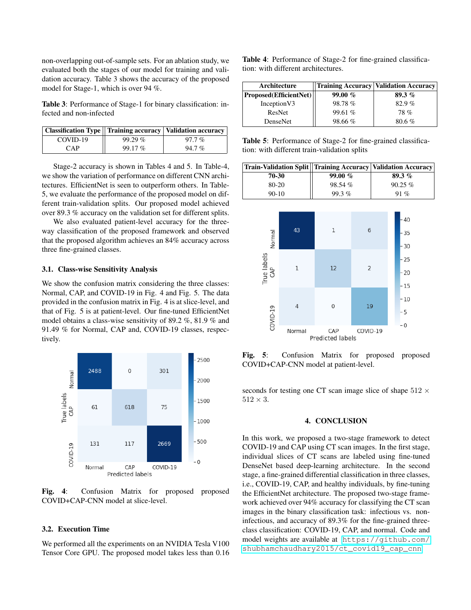non-overlapping out-of-sample sets. For an ablation study, we evaluated both the stages of our model for training and validation accuracy. Table 3 shows the accuracy of the proposed model for Stage-1, which is over 94 %.

Table 3: Performance of Stage-1 for binary classification: infected and non-infected

|          |        | Classification Type    Training accuracy   Validation accuracy |
|----------|--------|----------------------------------------------------------------|
| COVID-19 | 99.29% | $97.7\%$                                                       |
| CAP      | 99.17% | $94.7\%$                                                       |

Stage-2 accuracy is shown in Tables 4 and 5. In Table-4, we show the variation of performance on different CNN architectures. EfficientNet is seen to outperform others. In Table-5, we evaluate the performance of the proposed model on different train-validation splits. Our proposed model achieved over 89.3 % accuracy on the validation set for different splits.

We also evaluated patient-level accuracy for the threeway classification of the proposed framework and observed that the proposed algorithm achieves an 84% accuracy across three fine-grained classes.

### 3.1. Class-wise Sensitivity Analysis

We show the confusion matrix considering the three classes: Normal, CAP, and COVID-19 in Fig. 4 and Fig. 5. The data provided in the confusion matrix in Fig. 4 is at slice-level, and that of Fig. 5 is at patient-level. Our fine-tuned EfficientNet model obtains a class-wise sensitivity of 89.2 %, 81.9 % and 91.49 % for Normal, CAP and, COVID-19 classes, respectively.



Fig. 4: Confusion Matrix for proposed proposed COVID+CAP-CNN model at slice-level.

# 3.2. Execution Time

We performed all the experiments on an NVIDIA Tesla V100 Tensor Core GPU. The proposed model takes less than 0.16 Table 4: Performance of Stage-2 for fine-grained classification: with different architectures.

| Architecture                         |           | <b>Training Accuracy   Validation Accuracy</b> |
|--------------------------------------|-----------|------------------------------------------------|
| $\mid$ Proposed(EfficientNet) $\mid$ | 99.00 $%$ | 89.3 $%$                                       |
| Inception V3                         | 98.78%    | 82.9%                                          |
| <b>ResNet</b>                        | 99.61%    | <b>78%</b>                                     |
| DenseNet                             | 98.66%    | 80.6%                                          |

Table 5: Performance of Stage-2 for fine-grained classification: with different train-validation splits

| Train-Validation Split  Training Accuracy   Validation Accuracy |        |           |
|-----------------------------------------------------------------|--------|-----------|
| 70-30                                                           | 99.00% | 89.3%     |
| 80-20                                                           | 98.54% | $90.25\%$ |
| $90-10$                                                         | 99.3%  | 91 %      |



Fig. 5: Confusion Matrix for proposed proposed COVID+CAP-CNN model at patient-level.

seconds for testing one CT scan image slice of shape  $512 \times$  $512 \times 3$ .

### 4. CONCLUSION

In this work, we proposed a two-stage framework to detect COVID-19 and CAP using CT scan images. In the first stage, individual slices of CT scans are labeled using fine-tuned DenseNet based deep-learning architecture. In the second stage, a fine-grained differential classification in three classes, i.e., COVID-19, CAP, and healthy individuals, by fine-tuning the EfficientNet architecture. The proposed two-stage framework achieved over 94% accuracy for classifying the CT scan images in the binary classification task: infectious vs. noninfectious, and accuracy of 89.3% for the fine-grained threeclass classification: COVID-19, CAP, and normal. Code and model weights are available at [https://github.com/](https://github.com/shubhamchaudhary2015/ct_covid19_cap_cnn) [shubhamchaudhary2015/ct\\_covid19\\_cap\\_cnn](https://github.com/shubhamchaudhary2015/ct_covid19_cap_cnn)